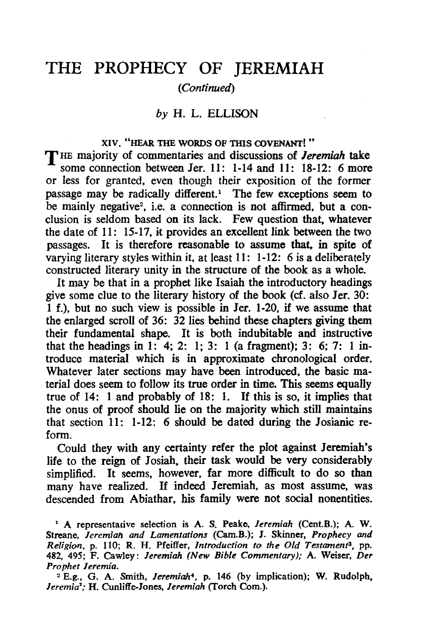# THE PROPHECY OF JEREMIAH

# *(Continued)*

# *by* H. L. ELLISON

XIV. "HEAR THE WORDS OF THIS COVENANT!"<br>The majority of commentaries and discussions of *Jeremiah* take some connection between Jer. 11: 1-14 and 11: 18-12: 6 more or less for granted, even though their exposition of the former passage may be radically different.<sup>1</sup> The few exceptions seem to be mainly negative<sup>2</sup>, i.e. a connection is not affirmed, but a conclusion is seldom based on its lack. Few question that, whatever the date of 11: 15-17, it provides an excellent link between the two passages. It is therefore reasonable to assume that, in spite of varying literary styles within it, at least 11: 1-12: 6 is a deliberately constructed literary unity in the structure of the book as a whole.

It may be that in a prophet like Isaiah the introductory headings give some clue to the literary history of the book (cf. also Jer. 30: 1 f.), but no such view is possible in Jer. 1-20, if we assume that the enlarged scroll of 36: 32 lies behind these chapters giving them their fundamental shape. It is both indubitable and instructive that the headings in 1: 4; 2: 1; 3: 1 (a fragment); 3: 6; 7: 1 introduce material which is in approximate chronological order. Whatever later sections may have been introduced, the basic material does seem to follow its true order in time. This seems equally true of 14: 1 and probably of 18: 1. If this is so, it implies that the onus of proof should lie on the majority which still maintains that section 11: 1-12: 6 should be dated during the Josianic reform.

Could they with any certainty refer the plot against Jeremiah's life to the reign of Josiah, their task would be very considerably simplified. It seems, however, far more difficult to do so than many have realized. If indeed Jeremiah, as most assume, was descended from Abiathar, his family were not social nonentities.

<sup>&</sup>lt;sup>1</sup> A representative selection is A. S. Peake, *Jeremiah* (Cent.B.); A. W. Streane, *Jeremiah and Lamentations* (Carn.B.); *I.* Skinner, *Prophecy and Religion,* p. 110; R. H. Pfeiffer, *Introduction to the Old Testament3,* pp. 482, 495; F. Cawley: *Jeremiah (New Bible Commentary);* A. Weiser, *Der Prophet Jeremia.* 

<sup>&</sup>lt;sup>2</sup> E.g., G. A. Smith, *Jeremiah<sup>4</sup>*, p. 146 (by implication); W. Rudolph, *Jeremia';* H. Cunliffe-Iones, *Jeremiah* (Torch Corn.).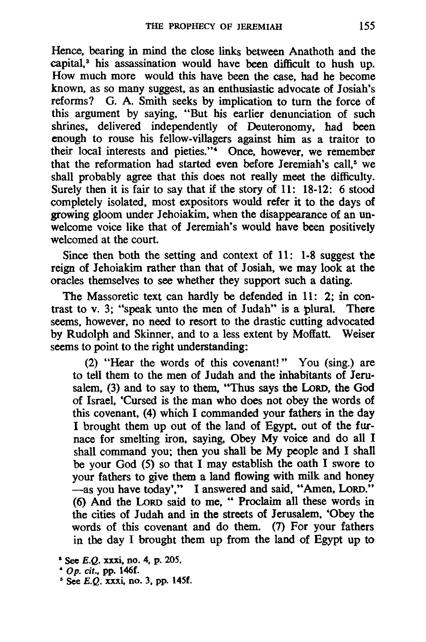Hence. bearing in mind the close links between Anathoth and the capital.<sup>3</sup> his assassination would have been difficult to hush up. How much more would this have been the case. had he become known. as so many suggest. as an enthusiastic advocate of Josiah's reforms? G. A. Smith seeks by implication to turn the force of this argument by saying. "But his earlier denunciation of such shrines. delivered independently of Deuteronomy. had been enough to rouse his fellow-villagers against him as a traitor to their local interests and pieties."<sup>4</sup> Once, however, we remember that the reformation had started even before Jeremiah's call,<sup>5</sup> we shall probably agree that this does not really meet the difficulty. Surely then it is fair to say that if the story of 11: 18-12: 6 stood completely isolated. most expositors would refer it to the days of growing gloom under Jehoiakim, when the disappearance of an unwelcome voice like that of Jeremiah's would have been positively welcomed at the court.

Since then both the setting and context of 11: 1-8 suggest 'the reign of Jehoiakim rather than that of Josiah. we may look at the oracles themselves to see whether they support such a dating.

The Massoretic text can hardly be defended in 11: 2; in contrast to v. 3; "speak unto the men of Judah" is a plural. There seems, however. no need to resort to the drastic cutting advocated by Rudolph and Skinner. and to a less extent by Moffatt. Weiser seems to point to the right understanding:

(2) "Hear the words of this covenant!" You (sing.) are to tell them to the men of Judah and the inhabitants of Jerusalem. (3) and to say to them. "Thus says the LoRD. the God of Israel, 'Cursed is the man who does not obey the words of this covenant. (4) which I commanded your fathers in the day I brought them up out of the land of Egypt. out of the furnace for smelting iron. saying. Obey My voice and do all I shall command you; then you shall be My people and I shall be your God (5) so that I may establish the oath I swore to your fathers to give them a land flowing with milk and honey -as you have today'," I answered and said, "Amen, LORD." (6) And the LoRD said to me. " Proclaim all these words in the cities of Judah and in the streets of Jerusalem. 'Obey the words of this covenant and do them. (7) For your fathers in the day I brought them up from the land of Egypt up to

 $See E.Q. xxxi, no. 4, p. 205.$ 

<sup>•</sup> Op. *cit.,* pp. 146f.

 $<sup>5</sup>$  See E.Q. xxxi, no. 3, pp. 145f.</sup>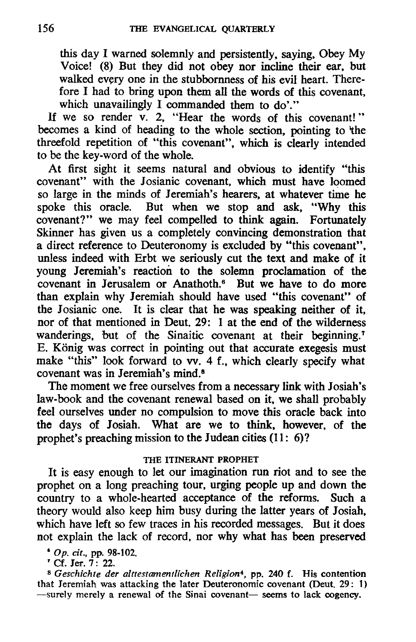this day I warned solemnly and persistently, saying, Obey My Voice! (8) But they did not obey nor incline their ear, but walked every one in the stubbornness of his evil heart. Therefore I had to bring upon them all the words of this covenant, which unavailingly I commanded them to do'."

If we so render v. 2, "Hear the words of this covenant!" becomes a kind of heading to the whole section, pointing to 'the threefold repetition of "this covenant", which is clearly intended to be the key-word of the whole.

At first sight it seems natural and obvious to identify "this covenant" with the Josianic covenant, which must have loomed so large in the minds of Jeremiah's hearers, at whatever time he spoke this oracle. But when we stop and ask, "Why this covenant?" we may feel compelled to think again. Fortunately Skinner has given us a completely convincing demonstration that a direct reference to Deuteronomy is excluded by "this covenant", unless indeed with Erbt we seriously cut the text and make of it young Jeremiah's reaction to the solemn proclamation of the covenant in Jerusalem or Anathoth.<sup>6</sup> But we have to do more than explain why Jeremiah should have used "this covenant" of the Josianic one. It is clear that he was speaking neither of it, nor of that mentioned in Deut. 29: 1 at the end of the wilderness wanderings, but of the Sinaitic covenant at their beginning.<sup>7</sup> E. Konig was correct in pointing out that accurate exegesis must make "this" look forward to vv. 4 f., which clearly specify what covenant was in Jeremiah's mind.<sup>8</sup>

The moment we free ourselves from a necessary link with Josiah's law-book and the covenant renewal based on it, we shall probably feel ourselves under no compulsion to move this oracle back into the days of Josiah. What are we to think. however, of the prophet's preaching mission to the Judean cities  $(11: 6)$ ?

# THE ITINERANT PROPHET

It is easy enough to let our imagination run riot and to see the prophet on a long preaching tour, urging people up and down the country to a whole-hearted acceptance of the reforms. Such a theory would also keep him busy during the latter years of Josiah. which have left so few traces in his recorded messages. But it does not explain the lack of record, nor why what has been preserved

• op. *cit.,* pp. 98-102. , Cf. Jer. 7: 22.

*8 Geschichte der alttestamentlichen Religion4,* pp. 240 f. His contention that Jeremiah was attacking the later Deuteronomic covenant (Deut. 29: 1)  $-$ surely merely a renewal of the Sinai covenant- seems to lack cogency.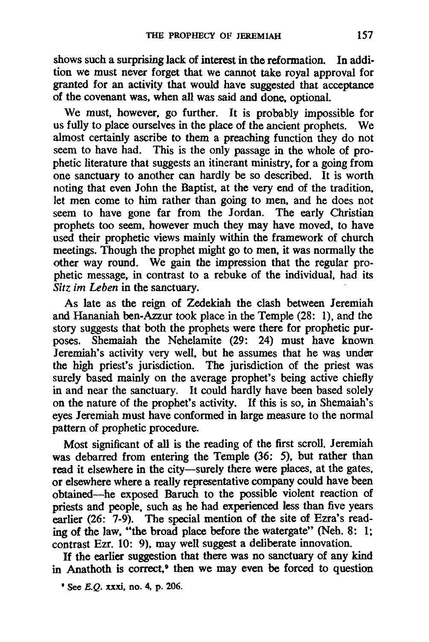shows such a surprising lack of interest in the reformation. In addition we must never forget that we cannot take royal approval for granted for an activity that would have suggested that acceptance of the covenant was, when all was said and done, optional.

We must, however, go further. It is probably impossible for us fully to place ourselves in the place of the ancient prophets. We almost certainly ascribe to them a preaching function they do not seem to have had. This is the only passage in the whole of prophetic literature that suggests an itinerant ministry, for a going from one sanctuary to another can hardly be so described. It is worth noting that even John the Baptist, at the very end of the tradition, let men come to him rather than going to men, and he does not seem to have gone far from the Jordan. The early Christian prophets too seem, however much they may have moved, to have used their prophetic views mainly within the framework of church meetings. Though the prophet might go to men, it was normally the other way round. We gain the impression that the regular prophetic message, in contrast to a rebuke of the individual, had its *Sitz im Leben* in the sanctuary. .

As late as the reign of Zedekiah the clash between Jeremiah and Hananiah ben-Azzur took place in the Temple (28: 1), and the story suggests that both the prophets were there for prophetic purposes. Shemaiah the Nehelamite (29: 24) must have known Jeremiah's activity very well, but he assumes that he was under the high priest's jurisdiction. The jurisdiction of the priest was surely based mainly on the average prophet's being active chiefly in and near the sanctuary. It could hardly have been based solely on the nature of the prophet's activity. If this is so, in Shemaiah's eyes Jeremiah must have conformed in large measure to the normal pattern of prophetic procedure.

Most significant of all is the reading of the first scroll. Jeremiah was debarred from entering the Temple (36: 5), but rather than read it elsewhere in the city-surely there were places, at the gates, or elsewhere where a really representative company could have been obtained-he exposed Baruch to the possible violent reaction of priests and people, such as he had experienced less than five years earlier (26: 7-9). The special mention of the site of Ezra's reading of the law, "the broad place before the watergate" (Neh. 8: 1; contrast Ezr. 10: 9), may well suggest a deliberate innovation.

If the earlier suggestion that there was no sanctuary of any kind in Anathoth is correct.<sup>•</sup> then we may even be forced to question

 $^{\circ}$  See E.O. xxxi, no. 4, p. 206.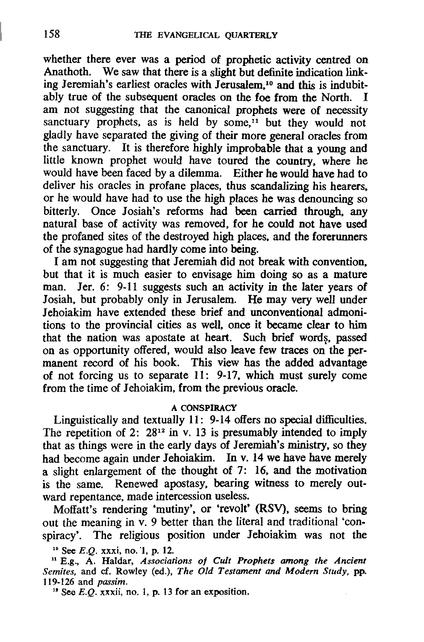whether there ever was a period of prophetic activity centred on Anathoth. We saw that there is a slight but definite indication linking Jeremiah's earliest oracles with Jerusalem.<sup>10</sup> and this is indubitably true of the subsequent oracles on the foe from the North. I am not suggesting that the canonical prophets were of necessity sanctuary prophets, as is held by some, $\frac{1}{1}$  but they would not gladly have separated the giving of their more general oracles from the sanctuary. It is therefore highly improbable that a young and little known prophet would have toured the country, where he would have been faced by a dilemma. Either he would have had to deliver his oracles in profane places, thus scandalizing his hearers. or he would have had to use the high places he was denouncing so bitterly. Once Josiah's reforms had been carried through, any natural base of activity was removed, for he could not have used the profaned sites of the destroyed high places. and the forerunners of the synagogue had hardly come into being.

I am not suggesting that Jeremiah did not break with convention, but that it is much easier to envisage him doing so as a mature man. Jer. 6: 9-11 suggests such an activity in the later years of Josiah. but probably only in Jerusalem. He may very well under Jehoiakim have extended these brief and unconventional admonitions to the provincial cities as well, once it became clear to him that the nation was apostate at heart. Such brief words, passed on as opportunity offered. would also leave few traces on the permanent record of his book. This view has the added advantage of not forcing us to separate 11: 9-17. which must surely come from the time of Jehoiakim, from the previous oracle.

### A CONSPIRACY

Linguistically and textually 11: 9-14 offers no special difficulties. The repetition of 2:  $28^{12}$  in v. 13 is presumably intended to imply that as things were in the early days of Jeremiah's ministry, so they had become again under Jehoiakim. In v. 14 we have have merely a slight enlargement of the thought of 7: 16. and the motivation is the same. Renewed apostasy, bearing witness to merely outward repentance. made intercession useless.

Moffatt's rendering 'mutiny', or 'revolt' (RSV), seems to bring out the meaning in v. 9 better than the literal and traditional 'conspiracy'. The religious position under lehoiakim was not the

11 E.g., A. Haldar, *Associations of Cult Prophets among the Ancient Semites,* and cf. Rowley (ed.), *The Old Testament and Modern Study,* pp. 119-126 and *passim.* 

<sup>12</sup> See *E.O.*  $\overline{x}$ *xxii, no. 1, p. 13 for an exposition.* 

<sup>10</sup>See *E.Q.* xxxi, no. '1, p. 12.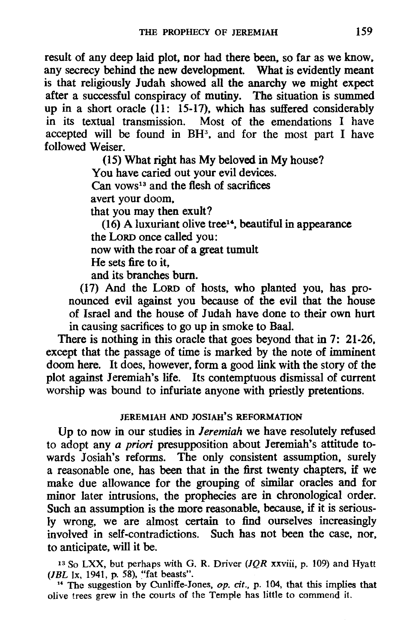result of any deep laid plot. nor had there been. so far as we know. any secrecy behind the new development. What is evidently meant is that religiously Judah showed all the anarchy we might expect after a successful conspiracy of mutiny. The situation is summed up in a short oracle (11: 15-17). which has suffered considerably in its textual transmission. Most of the emendations I have accepted will be found in BH<sup>3</sup>, and for the most part I have followed Weiser.

(15) What right has My beloved in My house?

You have caried out your evil devices.

Can vows<sup>13</sup> and the flesh of sacrifices

avert your doom.

that you may then exult?

 $(16)$  A luxuriant olive tree<sup>14</sup>, beautiful in appearance the LoRD once called you:

now with the roar of a great tumult

He sets fire to it.

and its branches bum.

(17) And the LORD of hosts. who planted you, has pronounced evil against you because of the evil that the house of Israel and the house of Judah have done to their own hurt in causing sacrifices to go up in smoke to BaaI.

There is nothing in this oracle that goes beyond that in 7: 21-26. except that the passage of time is marked by the note of imminent doom here. It does, however. form a good link with the story of the plot against Jeremiah's life. Its contemptuous dismissal of current worship was bound to infuriate anyone with priestly pretentions.

### JEREMIAH AND JOSIAH'S REFORMATION

Up to now in our studies in *leremiah* we have resolutely refused to adopt any *a priori* presupposition about Jeremiah's attitude towards Josiah's reforms. The only consistent assumption, surely a reasonable one, has been that in the first twenty chapters. if we make due allowance fot the grouping of similar oracles and for minor later intrusions. the prophecies are in chronological order. Such an assumption is the more reasonable. because. if it is seriously wrong, we are almost certain to find ourselves increasingly involved in self-contradictions. Such has not been the case. nor, to anticipate, will it be.

13 So LXX, but perhaps with G. R. Driver *(lQR* xxviii, p. 109) and Hyatt (*IBL* 1x, 1941, p. 58), "fat beasts".

<sup>14</sup> The suggestion by Cunliffe-Jones,  $op.$  cit., p. 104, that this implies that olive trees grew in the courts of the Temple has little to commend it.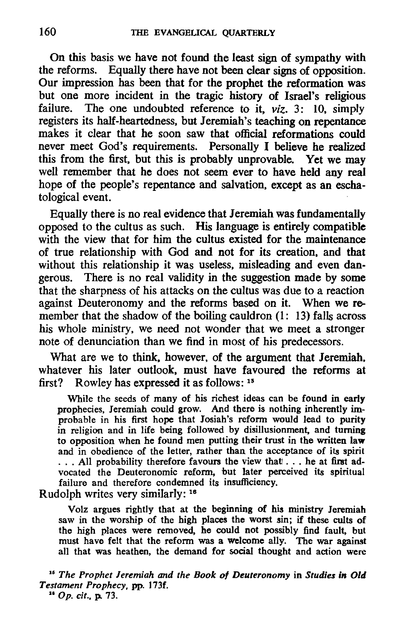On this basis we have not found the least sign of sympathy with the reforms. Equally there have not been clear signs of opposition. Our impression has been that for the prophet the reformation was but one more incident in the tragic history of Israel's religious failure. The one undoubted reference to it  $viz \rightarrow 10$  simply The one undoubted reference to it, *viz.* 3: 10, simply registers its half-heartedness, but Jeremiah's teaching on repentance makes it clear that he soon saw that official reformations could never meet God's requirements. Personally I believe he realized this from the first, but this is probably unprovable. Yet we may well remember that he does not seem ever to have held any real hope of the people's repentance and salvation, except as an eschatological event.

Equally there is no real evidence that Jeremiah was fundamentally opposed to the cuItus as such. His language is entirely compatible with the view that for him the cultus existed for the maintenance of true relationship with God and not for its creation, and that without this relationship it was useless, misleading and even dangerous. There is no real validity in the suggestion made by some that the sharpness of his attacks on the cultus was due to a reaction against Deuteronomy and the reforms based on it. When we remember that the shadow of the boiling cauldron (1: 13) falls across his whole ministry, we need not wonder that we meet a stronger note of denunciation than we find in most of his predecessors.

What are we to think, however, of the argument that Jeremiah, whatever his later outlook, must have favoured the reforms at first? Rowley has expressed it as follows: 15

While the seeds of many of his richest ideas can be found in early prophecies, Ieremiah could grow. And there is nothing inherently improbable in his first hope that Iosiah's reform would lead to purity in religion and in life being followed by disillusionment, and turning to opposition when he found men putting their trust in the written law and in obedience of the letter, rather than the acceptance of its spirit ... All probability therefore favours the view that ... he at first advocated the Deuteronomic reform, but later perceived its spiritual failure and therefore condemned its insufficiency.

Rudolph writes very similarly: 18

Volz argues rightly that at the beginning of hi& ministry Ieremiah saw in the worship of the high places the worst sin; if these cults of the high places were removed, he could not possibly find fault, but must have felt that the reform was a welcome ally. The war against all that was heathen, the demand for social thought and action were

<sup>16</sup> The Prophet Jeremiah and the Book of Deuteronomy in Studies in Old *Testament Prophecy.* pp. 173f . .. Op. *at.,* p. 73.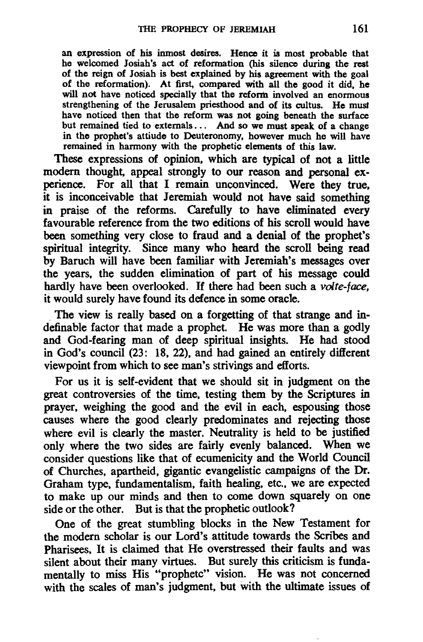an expression of his inmost desires. Hence it is most probable that he welcomed Josiah's act of reformation (his silence during the rest of the reign of Josiah is best explained by his agreement with the goal of the reformation). At first, compared with all the good it did, he will not have noticed specially that the reform involved an enormous strengthening of the Jerusalem priesthood and of its cultus. He must have noticed then that the reform was not going beneath the surface but remained tied to externals. .. And so we must speak of a change in the prophet's attiude to Deuteronomy, however much he will have remained in harmony with the prophetic elements of this law.

These expressions of opinion. which are typical of not a little modern thought, appeal strongly to our reason and personal experience. For all that I remain unconvinced. Were they true. it is inconceivable that Jeremiah would not have said something in praise of the reforms. Carefully to have eliminated every favourable reference from the two editions of his scroll would have been something very close to fraud and a denial of the prophet's spiritual integrity. Since many who heard the scroll being read by Baruch will have been familiar with Jeremiah's messages over the years. the sudden elimination of part of his message could hardly have been overlooked. If there had been such a volte-face, it would surely have found its defence in some oracle.

The view is really based on a forgetting of that strange and indefinable factor that made a prophet. He was more than a godly and God-fearing man of deep spiritual insights. He had stood in God's council (23: 18. 22). and had gained an entirely different viewpoint from which to see man's strivings and efforts.

For us it is self-evident that we should sit in judgment on the great controversies of the time. testing them by the Scriptures in prayer. weighing the good and the evil in each. espousing those causes where the good clearly predominates and rejecting those where evil is clearly the master. Neutrality is held to be justified only where the two sides are fairly evenly balanced. When we consider questions like that of ecumenicity and the World Council of Churches. apartheid. gigantic evangelistic campaigns of the Dr. Graham type, fundamentalism, faith healing, etc., we are expected to make up our minds and then to come down squarely on one side or the other. But is that the prophetic outlook?

One of the great stumbling blocks in the New Testament for the modern scholar is our Lord's attitude towards the Scribes and Pharisees. It is claimed that He overstressed their faults and was silent about their many virtues. But surely this criticism is fundamentally to miss His "prophetc" vision. He was not concerned with the scales of man's judgment, but with the ultimate issues of